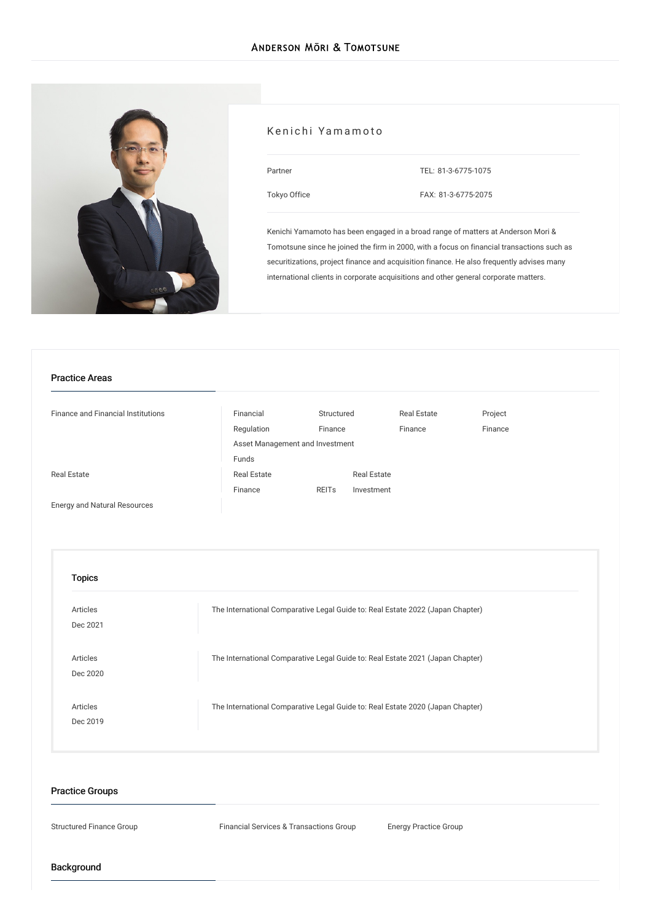

## Kenichi Yamamoto

| Partner<br>. .<br>×<br>۰. |  |
|---------------------------|--|
|                           |  |

TEL: [81-3-6775-1075](tel:81-3-6775-1075)

[Tokyo](/en/locations/tokyo) Office

FAX: 81-3-6775-2075

Kenichi Yamamoto has been engaged in a broad range of matters at Anderson Mori & Tomotsune since he joined the firm in 2000, with a focus on financial transactions such as securitizations, project finance and acquisition finance. He also frequently advises many international clients in corporate acquisitions and other general corporate matters.

#### Practice Areas

| <b>Finance and Financial Institutions</b> | Financial                       | Structured   |                    | <b>Real Estate</b> | Project |
|-------------------------------------------|---------------------------------|--------------|--------------------|--------------------|---------|
|                                           | Regulation                      | Finance      |                    | Finance            | Finance |
|                                           | Asset Management and Investment |              |                    |                    |         |
|                                           | Funds                           |              |                    |                    |         |
| <b>Real Estate</b>                        | <b>Real Estate</b>              |              | <b>Real Estate</b> |                    |         |
|                                           | Finance                         | <b>REITs</b> | Investment         |                    |         |
|                                           |                                 |              |                    |                    |         |

Energy and Natural [Resources](/en/services/practices/energy-and-natural-resources)

| Articles        | The International Comparative Legal Guide to: Real Estate 2022 (Japan Chapter) |
|-----------------|--------------------------------------------------------------------------------|
| Dec 2021        |                                                                                |
| <b>Articles</b> | The International Comparative Legal Guide to: Real Estate 2021 (Japan Chapter) |
| Dec 2020        |                                                                                |
| <b>Articles</b> | The International Comparative Legal Guide to: Real Estate 2020 (Japan Chapter) |
| Dec 2019        |                                                                                |

## Practice Groups

Structured Finance Group Financial Services & Transactions Group Energy Practice Group

Background